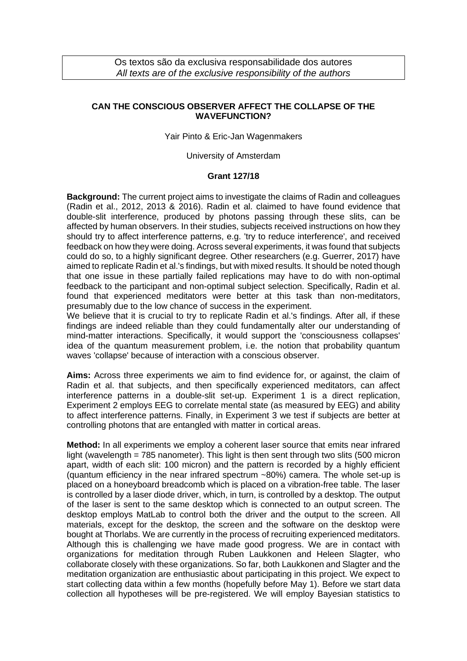## **CAN THE CONSCIOUS OBSERVER AFFECT THE COLLAPSE OF THE WAVEFUNCTION?**

Yair Pinto & Eric-Jan Wagenmakers

## University of Amsterdam

## **Grant 127/18**

**Background:** The current project aims to investigate the claims of Radin and colleagues (Radin et al., 2012, 2013 & 2016). Radin et al. claimed to have found evidence that double-slit interference, produced by photons passing through these slits, can be affected by human observers. In their studies, subjects received instructions on how they should try to affect interference patterns, e.g. 'try to reduce interference', and received feedback on how they were doing. Across several experiments, it was found that subjects could do so, to a highly significant degree. Other researchers (e.g. Guerrer, 2017) have aimed to replicate Radin et al.'s findings, but with mixed results. It should be noted though that one issue in these partially failed replications may have to do with non-optimal feedback to the participant and non-optimal subject selection. Specifically, Radin et al. found that experienced meditators were better at this task than non-meditators, presumably due to the low chance of success in the experiment.

We believe that it is crucial to try to replicate Radin et al.'s findings. After all, if these findings are indeed reliable than they could fundamentally alter our understanding of mind-matter interactions. Specifically, it would support the 'consciousness collapses' idea of the quantum measurement problem, i.e. the notion that probability quantum waves 'collapse' because of interaction with a conscious observer.

**Aims:** Across three experiments we aim to find evidence for, or against, the claim of Radin et al. that subjects, and then specifically experienced meditators, can affect interference patterns in a double-slit set-up. Experiment 1 is a direct replication, Experiment 2 employs EEG to correlate mental state (as measured by EEG) and ability to affect interference patterns. Finally, in Experiment 3 we test if subjects are better at controlling photons that are entangled with matter in cortical areas.

**Method:** In all experiments we employ a coherent laser source that emits near infrared light (wavelength = 785 nanometer). This light is then sent through two slits (500 micron apart, width of each slit: 100 micron) and the pattern is recorded by a highly efficient (quantum efficiency in the near infrared spectrum ~80%) camera. The whole set-up is placed on a honeyboard breadcomb which is placed on a vibration-free table. The laser is controlled by a laser diode driver, which, in turn, is controlled by a desktop. The output of the laser is sent to the same desktop which is connected to an output screen. The desktop employs MatLab to control both the driver and the output to the screen. All materials, except for the desktop, the screen and the software on the desktop were bought at Thorlabs. We are currently in the process of recruiting experienced meditators. Although this is challenging we have made good progress. We are in contact with organizations for meditation through Ruben Laukkonen and Heleen Slagter, who collaborate closely with these organizations. So far, both Laukkonen and Slagter and the meditation organization are enthusiastic about participating in this project. We expect to start collecting data within a few months (hopefully before May 1). Before we start data collection all hypotheses will be pre-registered. We will employ Bayesian statistics to